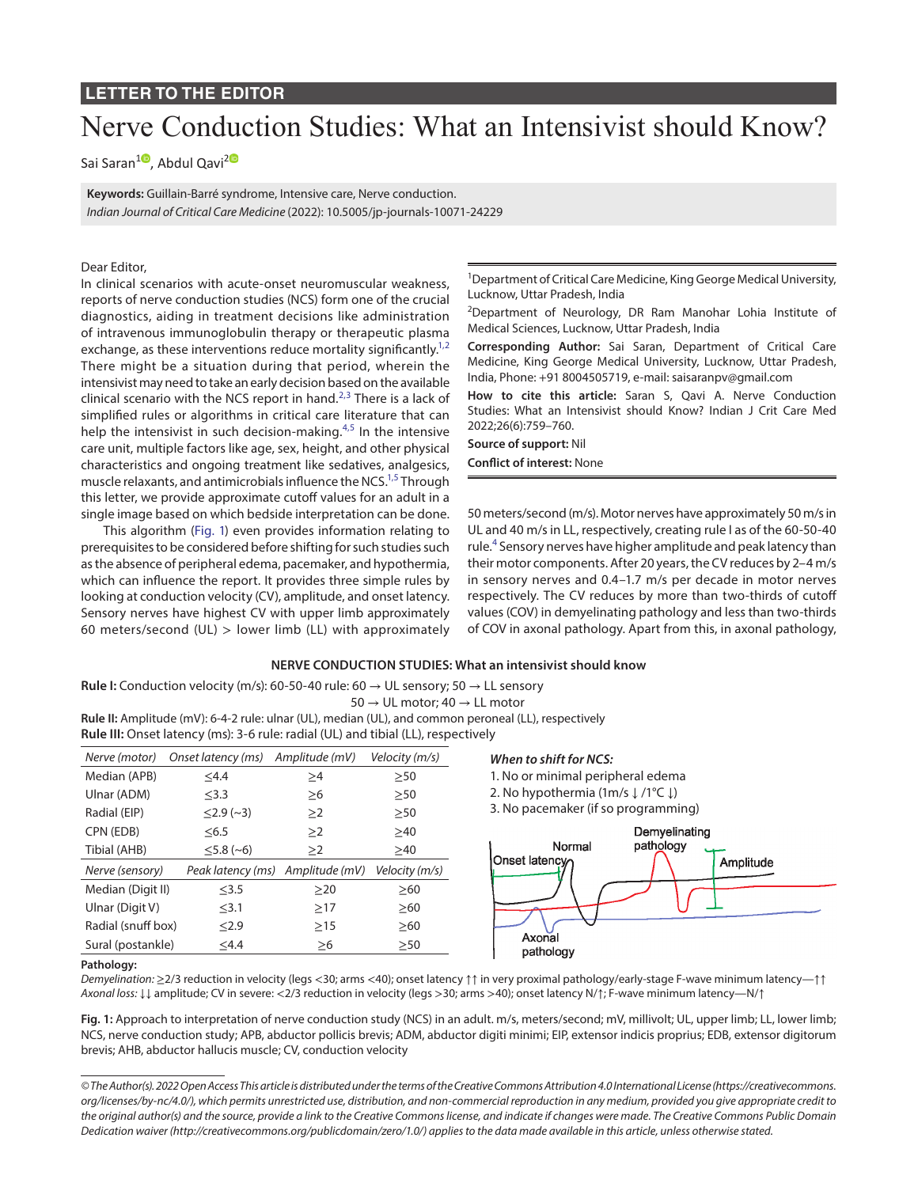## **LETTER TO THE EDITOR**

# Nerve Conduction Studies: What an Intensivist should Know?

Sai Saran<sup>[1](https://orcid.org/0000-0002-6181-8661)0</sup>, Abdul Qavi<sup>[2](https://orcid.org/0000-0002-4223-5540)0</sup>

**Keywords:** Guillain-Barré syndrome, Intensive care, Nerve conduction. *Indian Journal of Critical Care Medicine* (2022): 10.5005/jp-journals-10071-24229

#### Dear Editor,

In clinical scenarios with acute-onset neuromuscular weakness, reports of nerve conduction studies (NCS) form one of the crucial diagnostics, aiding in treatment decisions like administration of intravenous immunoglobulin therapy or therapeutic plasma exchange, as these interventions reduce mortality significantly.<sup>1,[2](#page-1-1)</sup> There might be a situation during that period, wherein the intensivist may need to take an early decision based on the available clinical scenario with the NCS report in hand. $2,3$  $2,3$  $2,3$  There is a lack of simplified rules or algorithms in critical care literature that can help the intensivist in such decision-making. $4,5$  $4,5$  In the intensive care unit, multiple factors like age, sex, height, and other physical characteristics and ongoing treatment like sedatives, analgesics, muscle relaxants, and antimicrobials influence the NCS.<sup>1,[5](#page-1-4)</sup> Through this letter, we provide approximate cutoff values for an adult in a single image based on which bedside interpretation can be done.

This algorithm ([Fig. 1](#page-0-0)) even provides information relating to prerequisites to be considered before shifting for such studies such as the absence of peripheral edema, pacemaker, and hypothermia, which can influence the report. It provides three simple rules by looking at conduction velocity (CV), amplitude, and onset latency. Sensory nerves have highest CV with upper limb approximately 60 meters/second (UL)  $>$  lower limb (LL) with approximately <sup>1</sup>Department of Critical Care Medicine, King George Medical University, Lucknow, Uttar Pradesh, India

<sup>2</sup>Department of Neurology, DR Ram Manohar Lohia Institute of Medical Sciences, Lucknow, Uttar Pradesh, India

**Corresponding Author:** Sai Saran, Department of Critical Care Medicine, King George Medical University, Lucknow, Uttar Pradesh, India, Phone: +91 8004505719, e-mail: saisaranpv@gmail.com

**How to cite this article:** Saran S, Qavi A. Nerve Conduction Studies: What an Intensivist should Know? Indian J Crit Care Med 2022;26(6):759–760.

**Source of support:** Nil **Conflict of interest:** None

50 meters/second (m/s). Motor nerves have approximately 50 m/s in UL and 40 m/s in LL, respectively, creating rule I as of the 60-50-40 rule.<sup>[4](#page-1-3)</sup> Sensory nerves have higher amplitude and peak latency than their motor components. After 20 years, the CV reduces by 2–4 m/s in sensory nerves and 0.4–1.7 m/s per decade in motor nerves respectively. The CV reduces by more than two-thirds of cutoff values (COV) in demyelinating pathology and less than two-thirds of COV in axonal pathology. Apart from this, in axonal pathology,

#### **NERVE CONDUCTION STUDIES: What an intensivist should know**

**Rule I:** Conduction velocity (m/s): 60-50-40 rule: 60 → UL sensory; 50 → LL sensory

 $50 \rightarrow \text{UL motor}$ ; 40  $\rightarrow \text{LL motor}$ 

**Rule II:** Amplitude (mV): 6-4-2 rule: ulnar (UL), median (UL), and common peroneal (LL), respectively **Rule III:** Onset latency (ms): 3-6 rule: radial (UL) and tibial (LL), respectively

| Nerve (motor)      | Onset latency (ms) | Amplitude (mV)                   | Velocity (m/s) |
|--------------------|--------------------|----------------------------------|----------------|
| Median (APB)       | $<$ 4.4            | ≥4                               | $\geq 50$      |
| Ulnar (ADM)        | $\leq$ 3.3         | >6                               | $\geq 50$      |
| Radial (EIP)       | $\leq$ 2.9 (~3)    | >2                               | >50            |
| CPN (EDB)          | < 6.5              | >2                               | >40            |
| Tibial (AHB)       | $\leq$ 5.8 (~6)    | >2                               | >40            |
| Nerve (sensory)    |                    | Peak latency (ms) Amplitude (mV) | Velocity (m/s) |
| Median (Digit II)  | $<$ 3.5            | >20                              | >60            |
| Ulnar (Digit V)    | $<$ 3.1            | >17                              | >60            |
| Radial (snuff box) | < 2.9              | >15                              | >60            |
| Sural (postankle)  | $<$ 4.4            | $\geq 6$                         | >50            |

#### *When to shift for NCS:*

1. No or minimal peripheral edema

2. No hypothermia (1m/s ↓ /1°C ↓)

3. No pacemaker (if so programming)



#### **Pathology:**

*Demyelination:* ≥2/3 reduction in velocity (legs <30; arms <40); onset latency ↑↑ in very proximal pathology/early-stage F-wave minimum latency—↑↑ *Axonal loss:* ↓↓ amplitude; CV in severe: <2/3 reduction in velocity (legs >30; arms >40); onset latency N/↑; F-wave minimum latency—N/↑

<span id="page-0-0"></span>**Fig. 1:** Approach to interpretation of nerve conduction study (NCS) in an adult. m/s, meters/second; mV, millivolt; UL, upper limb; LL, lower limb; NCS, nerve conduction study; APB, abductor pollicis brevis; ADM, abductor digiti minimi; EIP, extensor indicis proprius; EDB, extensor digitorum brevis; AHB, abductor hallucis muscle; CV, conduction velocity

*<sup>©</sup> The Author(s). 2022 Open Access This article is distributed under the terms of the Creative Commons Attribution 4.0 International License ([https://creativecommons.](https://creativecommons.org/licenses/by-nc/4.0/) [org/licenses/by-nc/4.0/](https://creativecommons.org/licenses/by-nc/4.0/)), which permits unrestricted use, distribution, and non-commercial reproduction in any medium, provided you give appropriate credit to the original author(s) and the source, provide a link to the Creative Commons license, and indicate if changes were made. The Creative Commons Public Domain Dedication waiver ([http://creativecommons.org/publicdomain/zero/1.0/\)](http://creativecommons.org/publicdomain/zero/1.0/) applies to the data made available in this article, unless otherwise stated.*